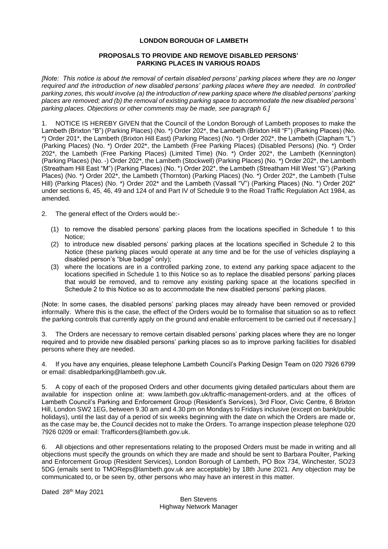# **LONDON BOROUGH OF LAMBETH**

# **PROPOSALS TO PROVIDE AND REMOVE DISABLED PERSONS' PARKING PLACES IN VARIOUS ROADS**

*[Note: This notice is about the removal of certain disabled persons' parking places where they are no longer required and the introduction of new disabled persons' parking places where they are needed. In controlled parking zones, this would involve (a) the introduction of new parking space where the disabled persons' parking places are removed; and (b) the removal of existing parking space to accommodate the new disabled persons' parking places. Objections or other comments may be made, see paragraph 6.]*

1. NOTICE IS HEREBY GIVEN that the Council of the London Borough of Lambeth proposes to make the Lambeth (Brixton "B") (Parking Places) (No. \*) Order 202\*, the Lambeth (Brixton Hill "F") (Parking Places) (No. \*) Order 201\*, the Lambeth (Brixton Hill East) (Parking Places) (No. \*) Order 202\*, the Lambeth (Clapham "L") (Parking Places) (No. \*) Order 202\*, the Lambeth (Free Parking Places) (Disabled Persons) (No. \*) Order 202\*, the Lambeth (Free Parking Places) (Limited Time) (No. \*) Order 202\*, the Lambeth (Kennington) (Parking Places) (No. -) Order 202\*, the Lambeth (Stockwell) (Parking Places) (No. \*) Order 202\*, the Lambeth (Streatham Hill East "M") (Parking Places) (No. \*) Order 202\*, the Lambeth (Streatham Hill West "G") (Parking Places) (No. \*) Order 202\*, the Lambeth (Thornton) (Parking Places) (No. \*) Order 202\*, the Lambeth (Tulse Hill) (Parking Places) (No. \*) Order 202\* and the Lambeth (Vassall "V") (Parking Places) (No. \*) Order 202\* under sections 6, 45, 46, 49 and 124 of and Part IV of Schedule 9 to the Road Traffic Regulation Act 1984, as amended.

- 2. The general effect of the Orders would be:-
	- (1) to remove the disabled persons' parking places from the locations specified in Schedule 1 to this Notice;
	- (2) to introduce new disabled persons' parking places at the locations specified in Schedule 2 to this Notice (these parking places would operate at any time and be for the use of vehicles displaying a disabled person's "blue badge" only);
	- (3) where the locations are in a controlled parking zone, to extend any parking space adjacent to the locations specified in Schedule 1 to this Notice so as to replace the disabled persons' parking places that would be removed, and to remove any existing parking space at the locations specified in Schedule 2 to this Notice so as to accommodate the new disabled persons' parking places.

(Note: In some cases, the disabled persons' parking places may already have been removed or provided informally. Where this is the case, the effect of the Orders would be to formalise that situation so as to reflect the parking controls that currently apply on the ground and enable enforcement to be carried out if necessary.]

3. The Orders are necessary to remove certain disabled persons' parking places where they are no longer required and to provide new disabled persons' parking places so as to improve parking facilities for disabled persons where they are needed.

4. If you have any enquiries, please telephone Lambeth Council's Parking Design Team on 020 7926 6799 or email: disabledparking@lambeth.gov.uk.

5. A copy of each of the proposed Orders and other documents giving detailed particulars about them are available for inspection online at: [www.lambeth.gov.uk/traffic-management-orders.](https://eur01.safelinks.protection.outlook.com/?url=http%3A%2F%2Fwww.lambeth.gov.uk%2Ftraffic-management-orders&data=04%7C01%7CSahil.Dalsania%40projectcentre.co.uk%7Cd5f8781950a048ec7af708d920373c88%7C3734172ae82a4ac7a3d302949970d5e6%7C0%7C0%7C637576243876641921%7CUnknown%7CTWFpbGZsb3d8eyJWIjoiMC4wLjAwMDAiLCJQIjoiV2luMzIiLCJBTiI6Ik1haWwiLCJXVCI6Mn0%3D%7C1000&sdata=LbcG45UHIvK3V3Yhycdx16pImxK2bUPFL%2BY6oKh0ACY%3D&reserved=0) and at the offices of Lambeth Council's Parking and Enforcement Group (Resident's Services), 3rd Floor, Civic Centre, 6 Brixton Hill, London SW2 1EG, between 9.30 am and 4.30 pm on Mondays to Fridays inclusive (except on bank/public holidays), until the last day of a period of six weeks beginning with the date on which the Orders are made or, as the case may be, the Council decides not to make the Orders. To arrange inspection please telephone 020 7926 0209 or email: [Trafficorders@lambeth.gov.uk.](mailto:Trafficorders@lambeth.gov.uk)

6. All objections and other representations relating to the proposed Orders must be made in writing and all objections must specify the grounds on which they are made and should be sent to Barbara Poulter, Parking and Enforcement Group (Resident Services), London Borough of Lambeth, PO Box 734, Winchester, SO23 5DG (emails sent to [TMOReps@lambeth.gov.uk](mailto:TMOReps@lambeth.gov.uk) are acceptable) by 18th June 2021. Any objection may be communicated to, or be seen by, other persons who may have an interest in this matter.

Dated 28th May 2021

Ben Stevens Highway Network Manager